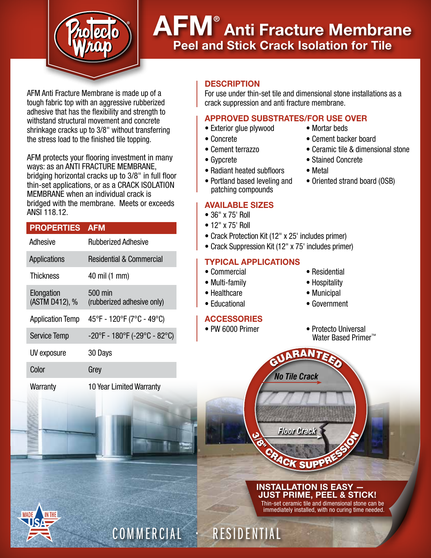

# AFM® Anti Fracture Membrane Peel and Stick Crack Isolation for Tile

AFM Anti Fracture Membrane is made up of a tough fabric top with an aggressive rubberized adhesive that has the flexibility and strength to withstand structural movement and concrete shrinkage cracks up to 3/8" without transferring the stress load to the finished tile topping.

AFM protects your flooring investment in many ways: as an ANTI FRACTURE MEMBRANE, bridging horizontal cracks up to 3/8" in full floor thin-set applications, or as a CRACK ISOLATION MEMBRANE when an individual crack is bridged with the membrane. Meets or exceeds ANSI 118.12.

## PROPERTIES AFM

| Adhesive                     | <b>Rubberized Adhesive</b>            |
|------------------------------|---------------------------------------|
| Applications                 | <b>Residential &amp; Commercial</b>   |
| <b>Thickness</b>             | 40 mil (1 mm)                         |
| Elongation<br>(ASTM D412), % | 500 min<br>(rubberized adhesive only) |
| <b>Application Temp</b>      | 45°F - 120°F (7°C - 49°C)             |
| <b>Service Temp</b>          | -20°F - 180°F (-29°C - 82°C)          |
| UV exposure                  | 30 Days                               |
| Color                        | Grey                                  |
|                              |                                       |

**Warranty** 

10 Year Limited Warranty

### **DESCRIPTION**

For use under thin-set tile and dimensional stone installations as a crack suppression and anti fracture membrane.

## APPROVED SUBSTRATES/FOR USE OVER

- Exterior glue plywood Mortar beds
- Concrete Cement backer board
- Cement terrazzo Ceramic tile & dimensional stone
- Gypcrete Stained Concrete
- Radiant heated subfloors Metal
- Portland based leveling and Oriented strand board (OSB) patching compounds

### AVAILABLE SIZES

- 36" x 75' Roll
- 12" x 75' Roll
- Crack Protection Kit (12" x 25' includes primer)
- Crack Suppression Kit (12" x 75' includes primer)

### TYPICAL APPLICATIONS

- Commercial Residential
- Multi-family  **Hospitality**
- Healthcare Municipal

COMMERCIAL • RESIDENTIAL

• Educational • Government

# **ACCESSORIES**

- 
- 
- 
- 
- PW 6000 Primer Protecto Universal Water Based Primer<sup>™</sup>

INSTALLATION IS EASY — JUST PRIME, PEEL & STICK! Thin-set ceramic tile and dimensional stone can be immediately installed, with no curing time needed.

*Floor Crack*

CK SUP

 $\frac{\omega}{\varphi}$ 

*No Tile Crack*

GUARANTEED